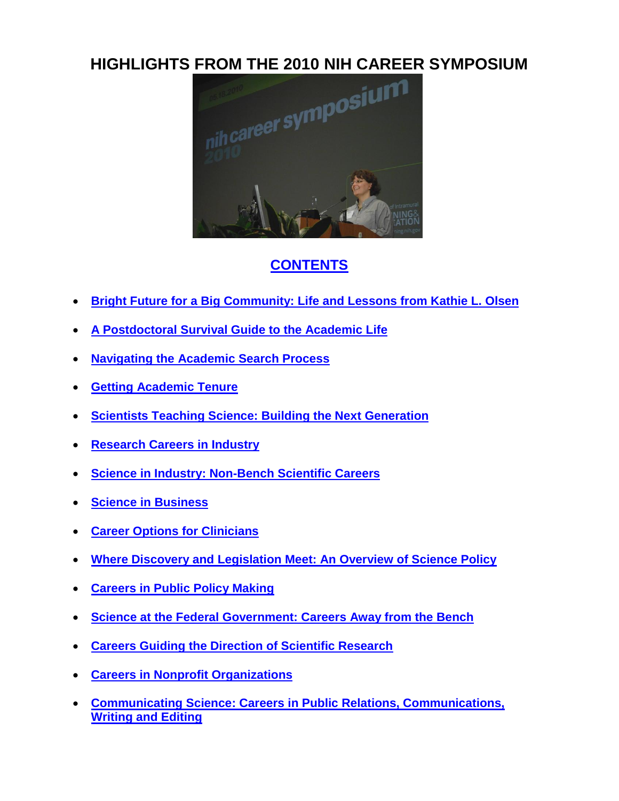

# <span id="page-0-0"></span>**[CONTENTS](#page-0-0)**

- **[Bright Future for a Big Community: Life and Lessons](#page-1-0) from Kathie L. Olsen**
- **[A Postdoctoral Survival Guide to the Academic Life](#page-3-0)**
- **[Navigating the Academic Search Process](#page-5-0)**
- **[Getting Academic Tenure](#page-7-0)**
- **[Scientists Teaching Science: Building the Next Generation](#page-9-0)**
- **[Research Careers in Industry](#page-11-0)**
- **[Science in Industry: Non-Bench Scientific Careers](#page-13-0)**
- **[Science in Business](#page-15-0)**
- **[Career Options for Clinicians](#page-17-0)**
- **[Where Discovery and Legislation Meet: An Overview of Science Policy](#page-19-0)**
- **[Careers in Public Policy Making](#page-21-0)**
- **[Science at the Federal Government: Careers Away from the Bench](#page-23-0)**
- **[Careers Guiding the Direction of Scientific Research](#page-25-0)**
- **[Careers in Nonprofit Organizations](#page-27-0)**
- **[Communicating Science: Careers in Public Relations, Communications,](#page-28-0)  [Writing and Editing](#page-28-0)**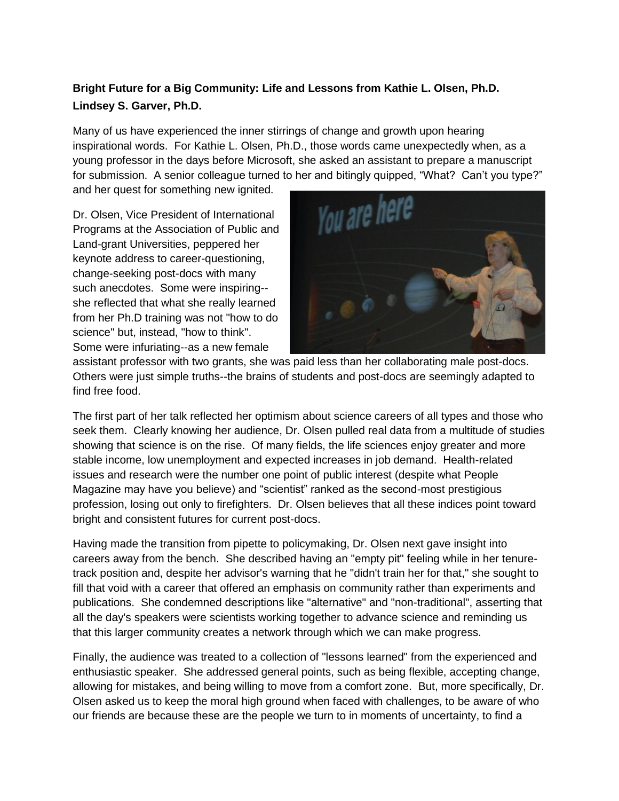## <span id="page-1-0"></span>**Bright Future for a Big Community: Life and Lessons from Kathie L. Olsen, Ph.D. Lindsey S. Garver, Ph.D.**

Many of us have experienced the inner stirrings of change and growth upon hearing inspirational words. For Kathie L. Olsen, Ph.D., those words came unexpectedly when, as a young professor in the days before Microsoft, she asked an assistant to prepare a manuscript for submission. A senior colleague turned to her and bitingly quipped, "What? Can"t you type?"

and her quest for something new ignited.

Dr. Olsen, Vice President of International Programs at the Association of Public and Land-grant Universities, peppered her keynote address to career-questioning, change-seeking post-docs with many such anecdotes. Some were inspiring- she reflected that what she really learned from her Ph.D training was not "how to do science" but, instead, "how to think". Some were infuriating--as a new female



assistant professor with two grants, she was paid less than her collaborating male post-docs. Others were just simple truths--the brains of students and post-docs are seemingly adapted to find free food.

The first part of her talk reflected her optimism about science careers of all types and those who seek them. Clearly knowing her audience, Dr. Olsen pulled real data from a multitude of studies showing that science is on the rise. Of many fields, the life sciences enjoy greater and more stable income, low unemployment and expected increases in job demand. Health-related issues and research were the number one point of public interest (despite what People Magazine may have you believe) and "scientist" ranked as the second-most prestigious profession, losing out only to firefighters. Dr. Olsen believes that all these indices point toward bright and consistent futures for current post-docs.

Having made the transition from pipette to policymaking, Dr. Olsen next gave insight into careers away from the bench. She described having an "empty pit" feeling while in her tenuretrack position and, despite her advisor's warning that he "didn't train her for that," she sought to fill that void with a career that offered an emphasis on community rather than experiments and publications. She condemned descriptions like "alternative" and "non-traditional", asserting that all the day's speakers were scientists working together to advance science and reminding us that this larger community creates a network through which we can make progress.

Finally, the audience was treated to a collection of "lessons learned" from the experienced and enthusiastic speaker. She addressed general points, such as being flexible, accepting change, allowing for mistakes, and being willing to move from a comfort zone. But, more specifically, Dr. Olsen asked us to keep the moral high ground when faced with challenges, to be aware of who our friends are because these are the people we turn to in moments of uncertainty, to find a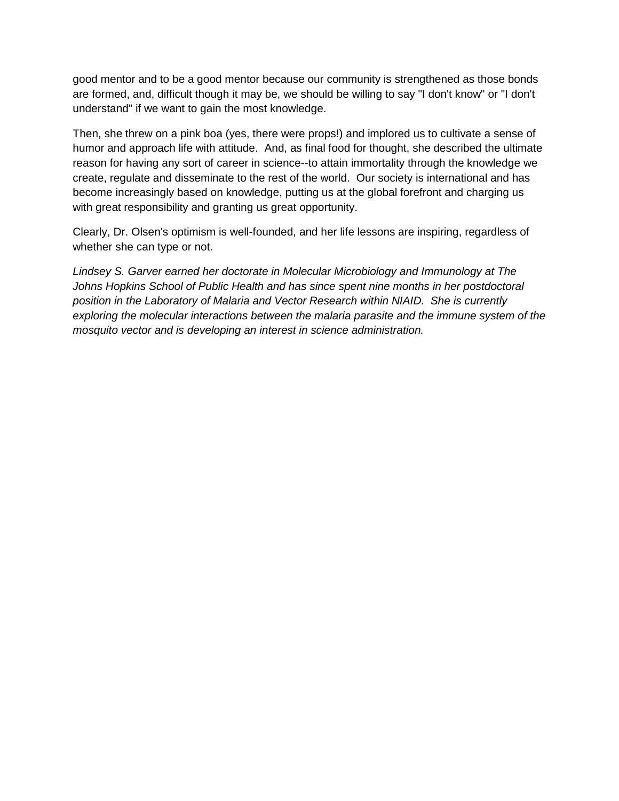good mentor and to be a good mentor because our community is strengthened as those bonds are formed, and, difficult though it may be, we should be willing to say "I don't know" or "I don't understand" if we want to gain the most knowledge.

Then, she threw on a pink boa (yes, there were props!) and implored us to cultivate a sense of humor and approach life with attitude. And, as final food for thought, she described the ultimate reason for having any sort of career in science--to attain immortality through the knowledge we create, regulate and disseminate to the rest of the world. Our society is international and has become increasingly based on knowledge, putting us at the global forefront and charging us with great responsibility and granting us great opportunity.

Clearly, Dr. Olsen's optimism is well-founded, and her life lessons are inspiring, regardless of whether she can type or not.

*Lindsey S. Garver earned her doctorate in Molecular Microbiology and Immunology at The Johns Hopkins School of Public Health and has since spent nine months in her postdoctoral position in the Laboratory of Malaria and Vector Research within NIAID. She is currently exploring the molecular interactions between the malaria parasite and the immune system of the mosquito vector and is developing an interest in science administration.*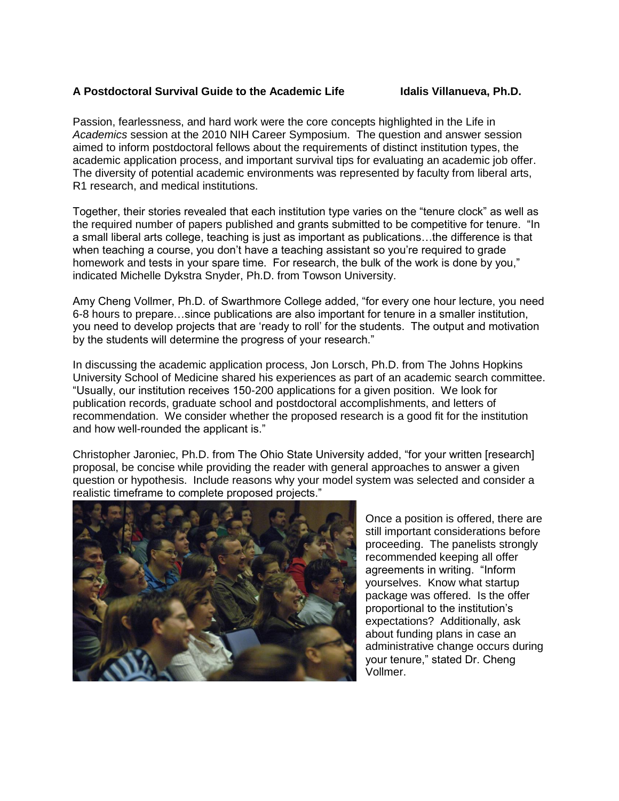### <span id="page-3-0"></span>**A Postdoctoral Survival Guide to the Academic Life Idalis Villanueva, Ph.D.**

Passion, fearlessness, and hard work were the core concepts highlighted in the Life in *Academics* session at the 2010 NIH Career Symposium. The question and answer session aimed to inform postdoctoral fellows about the requirements of distinct institution types, the academic application process, and important survival tips for evaluating an academic job offer. The diversity of potential academic environments was represented by faculty from liberal arts, R1 research, and medical institutions.

Together, their stories revealed that each institution type varies on the "tenure clock" as well as the required number of papers published and grants submitted to be competitive for tenure. "In a small liberal arts college, teaching is just as important as publications…the difference is that when teaching a course, you don't have a teaching assistant so you're required to grade homework and tests in your spare time. For research, the bulk of the work is done by you," indicated Michelle Dykstra Snyder, Ph.D. from Towson University.

Amy Cheng Vollmer, Ph.D. of Swarthmore College added, "for every one hour lecture, you need 6-8 hours to prepare…since publications are also important for tenure in a smaller institution, you need to develop projects that are "ready to roll" for the students. The output and motivation by the students will determine the progress of your research."

In discussing the academic application process, Jon Lorsch, Ph.D. from The Johns Hopkins University School of Medicine shared his experiences as part of an academic search committee. "Usually, our institution receives 150-200 applications for a given position. We look for publication records, graduate school and postdoctoral accomplishments, and letters of recommendation. We consider whether the proposed research is a good fit for the institution and how well-rounded the applicant is."

Christopher Jaroniec, Ph.D. from The Ohio State University added, "for your written [research] proposal, be concise while providing the reader with general approaches to answer a given question or hypothesis. Include reasons why your model system was selected and consider a realistic timeframe to complete proposed projects."



Once a position is offered, there are still important considerations before proceeding. The panelists strongly recommended keeping all offer agreements in writing. "Inform yourselves. Know what startup package was offered. Is the offer proportional to the institution"s expectations? Additionally, ask about funding plans in case an administrative change occurs during your tenure," stated Dr. Cheng Vollmer.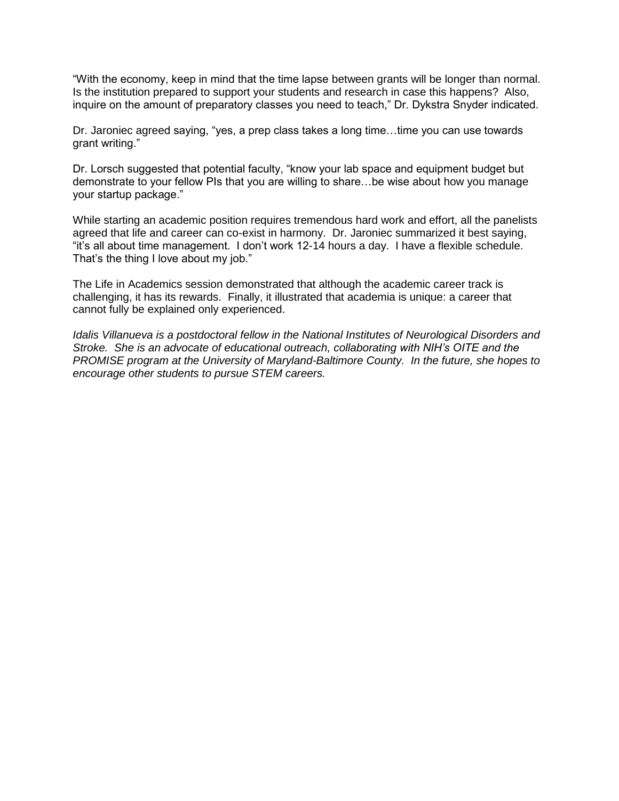"With the economy, keep in mind that the time lapse between grants will be longer than normal. Is the institution prepared to support your students and research in case this happens? Also, inquire on the amount of preparatory classes you need to teach," Dr. Dykstra Snyder indicated.

Dr. Jaroniec agreed saying, "yes, a prep class takes a long time…time you can use towards grant writing."

Dr. Lorsch suggested that potential faculty, "know your lab space and equipment budget but demonstrate to your fellow PIs that you are willing to share…be wise about how you manage your startup package."

While starting an academic position requires tremendous hard work and effort, all the panelists agreed that life and career can co-exist in harmony. Dr. Jaroniec summarized it best saying, "it"s all about time management. I don"t work 12-14 hours a day. I have a flexible schedule. That's the thing I love about my job."

The Life in Academics session demonstrated that although the academic career track is challenging, it has its rewards. Finally, it illustrated that academia is unique: a career that cannot fully be explained only experienced.

*Idalis Villanueva is a postdoctoral fellow in the National Institutes of Neurological Disorders and Stroke. She is an advocate of educational outreach, collaborating with NIH's OITE and the PROMISE program at the University of Maryland-Baltimore County. In the future, she hopes to encourage other students to pursue STEM careers.*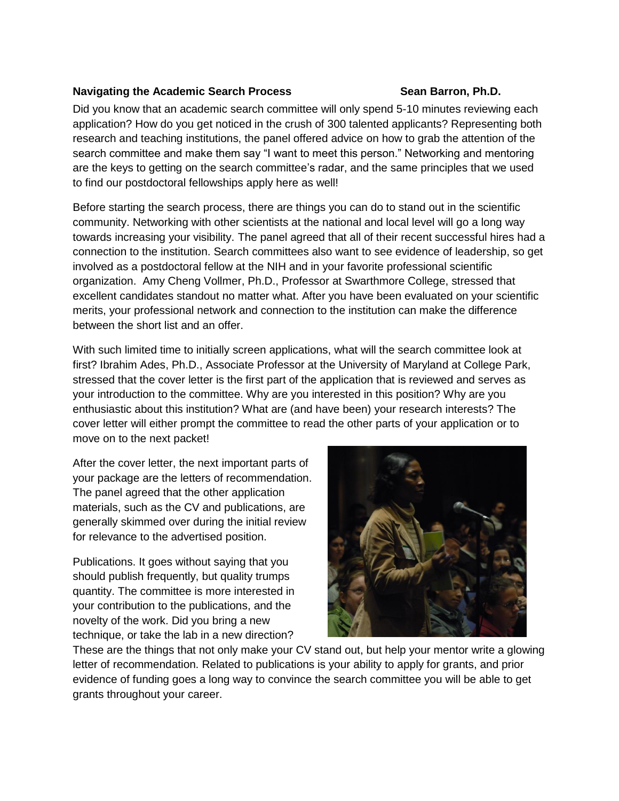### <span id="page-5-0"></span>Navigating the Academic Search Process **Sean Barron, Ph.D.**

Did you know that an academic search committee will only spend 5-10 minutes reviewing each application? How do you get noticed in the crush of 300 talented applicants? Representing both research and teaching institutions, the panel offered advice on how to grab the attention of the search committee and make them say "I want to meet this person." Networking and mentoring are the keys to getting on the search committee's radar, and the same principles that we used to find our postdoctoral fellowships apply here as well!

Before starting the search process, there are things you can do to stand out in the scientific community. Networking with other scientists at the national and local level will go a long way towards increasing your visibility. The panel agreed that all of their recent successful hires had a connection to the institution. Search committees also want to see evidence of leadership, so get involved as a postdoctoral fellow at the NIH and in your favorite professional scientific organization. Amy Cheng Vollmer, Ph.D., Professor at Swarthmore College, stressed that excellent candidates standout no matter what. After you have been evaluated on your scientific merits, your professional network and connection to the institution can make the difference between the short list and an offer.

With such limited time to initially screen applications, what will the search committee look at first? Ibrahim Ades, Ph.D., Associate Professor at the University of Maryland at College Park, stressed that the cover letter is the first part of the application that is reviewed and serves as your introduction to the committee. Why are you interested in this position? Why are you enthusiastic about this institution? What are (and have been) your research interests? The cover letter will either prompt the committee to read the other parts of your application or to move on to the next packet!

After the cover letter, the next important parts of your package are the letters of recommendation. The panel agreed that the other application materials, such as the CV and publications, are generally skimmed over during the initial review for relevance to the advertised position.

Publications. It goes without saying that you should publish frequently, but quality trumps quantity. The committee is more interested in your contribution to the publications, and the novelty of the work. Did you bring a new technique, or take the lab in a new direction?



These are the things that not only make your CV stand out, but help your mentor write a glowing letter of recommendation. Related to publications is your ability to apply for grants, and prior evidence of funding goes a long way to convince the search committee you will be able to get grants throughout your career.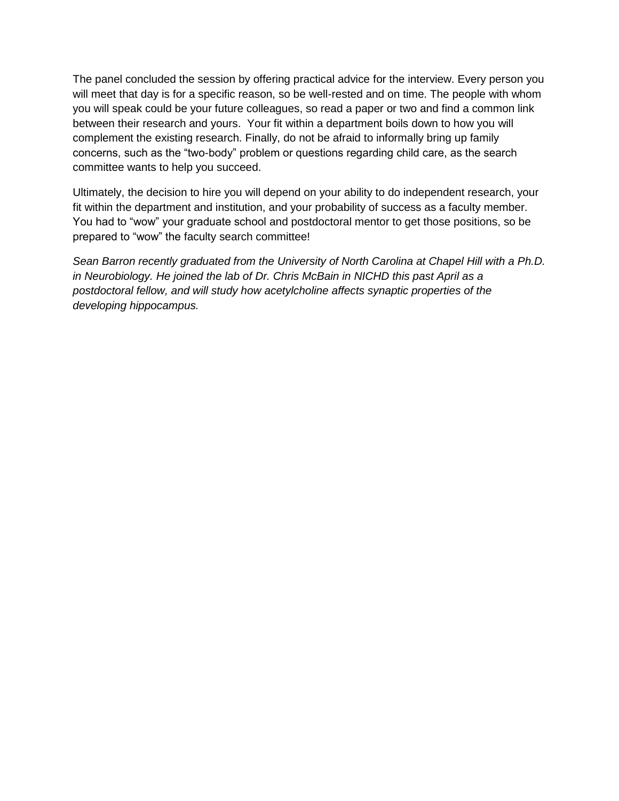The panel concluded the session by offering practical advice for the interview. Every person you will meet that day is for a specific reason, so be well-rested and on time. The people with whom you will speak could be your future colleagues, so read a paper or two and find a common link between their research and yours. Your fit within a department boils down to how you will complement the existing research. Finally, do not be afraid to informally bring up family concerns, such as the "two-body" problem or questions regarding child care, as the search committee wants to help you succeed.

Ultimately, the decision to hire you will depend on your ability to do independent research, your fit within the department and institution, and your probability of success as a faculty member. You had to "wow" your graduate school and postdoctoral mentor to get those positions, so be prepared to "wow" the faculty search committee!

*Sean Barron recently graduated from the University of North Carolina at Chapel Hill with a Ph.D. in Neurobiology. He joined the lab of Dr. Chris McBain in NICHD this past April as a postdoctoral fellow, and will study how acetylcholine affects synaptic properties of the developing hippocampus.*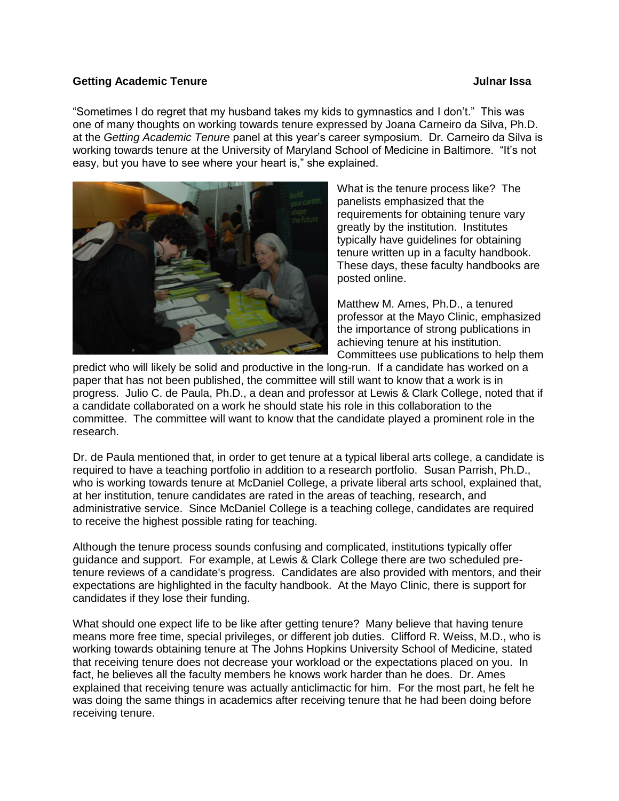### <span id="page-7-0"></span>**Getting Academic Tenure Community Community Community Community Community Community Community Community Community**

"Sometimes I do regret that my husband takes my kids to gymnastics and I don"t." This was one of many thoughts on working towards tenure expressed by Joana Carneiro da Silva, Ph.D. at the *Getting Academic Tenure* panel at this year"s career symposium. Dr. Carneiro da Silva is working towards tenure at the University of Maryland School of Medicine in Baltimore. "It"s not easy, but you have to see where your heart is," she explained.



What is the tenure process like? The panelists emphasized that the requirements for obtaining tenure vary greatly by the institution. Institutes typically have guidelines for obtaining tenure written up in a faculty handbook. These days, these faculty handbooks are posted online.

Matthew M. Ames, Ph.D., a tenured professor at the Mayo Clinic, emphasized the importance of strong publications in achieving tenure at his institution. Committees use publications to help them

predict who will likely be solid and productive in the long-run. If a candidate has worked on a paper that has not been published, the committee will still want to know that a work is in progress. Julio C. de Paula, Ph.D., a dean and professor at Lewis & Clark College, noted that if a candidate collaborated on a work he should state his role in this collaboration to the committee. The committee will want to know that the candidate played a prominent role in the research.

Dr. de Paula mentioned that, in order to get tenure at a typical liberal arts college, a candidate is required to have a teaching portfolio in addition to a research portfolio. Susan Parrish, Ph.D., who is working towards tenure at McDaniel College, a private liberal arts school, explained that, at her institution, tenure candidates are rated in the areas of teaching, research, and administrative service. Since McDaniel College is a teaching college, candidates are required to receive the highest possible rating for teaching.

Although the tenure process sounds confusing and complicated, institutions typically offer guidance and support. For example, at Lewis & Clark College there are two scheduled pretenure reviews of a candidate's progress. Candidates are also provided with mentors, and their expectations are highlighted in the faculty handbook. At the Mayo Clinic, there is support for candidates if they lose their funding.

What should one expect life to be like after getting tenure? Many believe that having tenure means more free time, special privileges, or different job duties. Clifford R. Weiss, M.D., who is working towards obtaining tenure at The Johns Hopkins University School of Medicine, stated that receiving tenure does not decrease your workload or the expectations placed on you. In fact, he believes all the faculty members he knows work harder than he does. Dr. Ames explained that receiving tenure was actually anticlimactic for him. For the most part, he felt he was doing the same things in academics after receiving tenure that he had been doing before receiving tenure.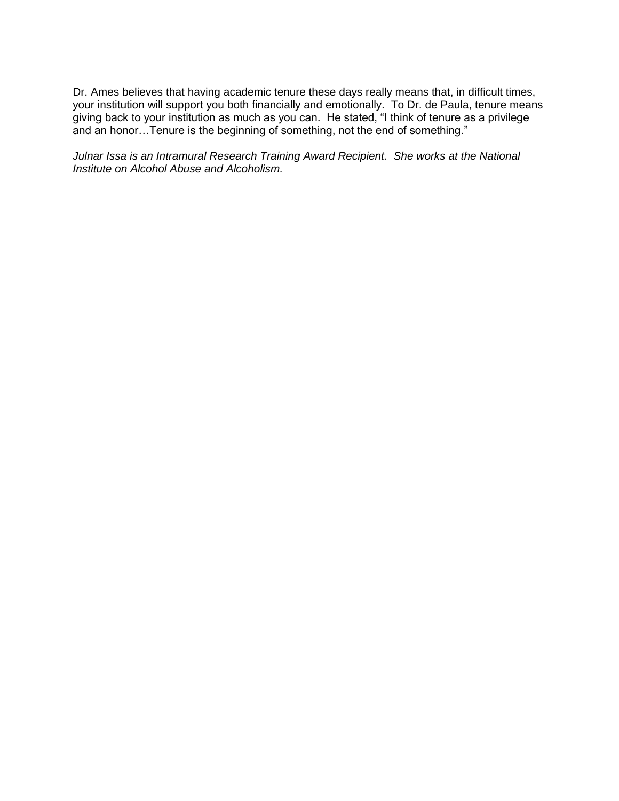Dr. Ames believes that having academic tenure these days really means that, in difficult times, your institution will support you both financially and emotionally. To Dr. de Paula, tenure means giving back to your institution as much as you can. He stated, "I think of tenure as a privilege and an honor…Tenure is the beginning of something, not the end of something."

*Julnar Issa is an Intramural Research Training Award Recipient. She works at the National Institute on Alcohol Abuse and Alcoholism.*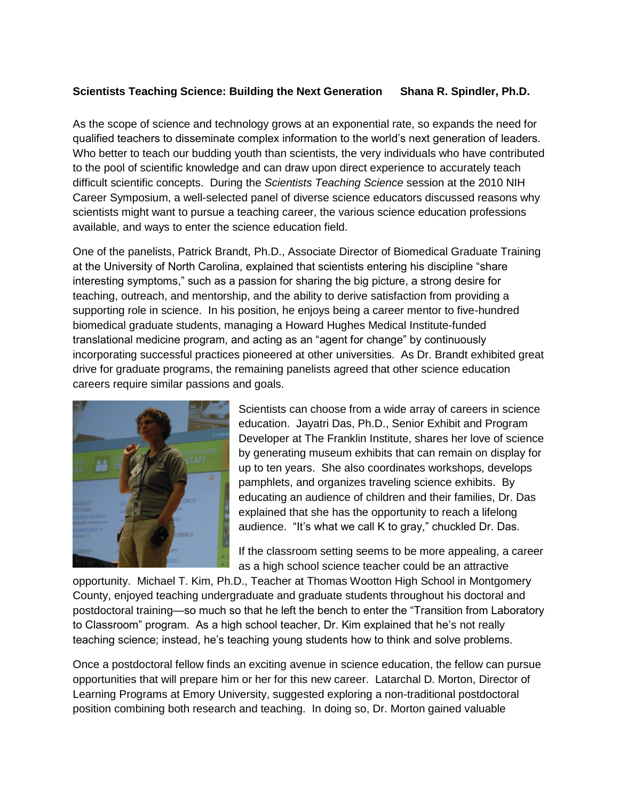### <span id="page-9-0"></span>**Scientists Teaching Science: Building the Next Generation Shana R. Spindler, Ph.D.**

As the scope of science and technology grows at an exponential rate, so expands the need for qualified teachers to disseminate complex information to the world"s next generation of leaders. Who better to teach our budding youth than scientists, the very individuals who have contributed to the pool of scientific knowledge and can draw upon direct experience to accurately teach difficult scientific concepts. During the *Scientists Teaching Science* session at the 2010 NIH Career Symposium, a well-selected panel of diverse science educators discussed reasons why scientists might want to pursue a teaching career, the various science education professions available, and ways to enter the science education field.

One of the panelists, Patrick Brandt, Ph.D., Associate Director of Biomedical Graduate Training at the University of North Carolina, explained that scientists entering his discipline "share interesting symptoms," such as a passion for sharing the big picture, a strong desire for teaching, outreach, and mentorship, and the ability to derive satisfaction from providing a supporting role in science. In his position, he enjoys being a career mentor to five-hundred biomedical graduate students, managing a Howard Hughes Medical Institute-funded translational medicine program, and acting as an "agent for change" by continuously incorporating successful practices pioneered at other universities. As Dr. Brandt exhibited great drive for graduate programs, the remaining panelists agreed that other science education careers require similar passions and goals.



Scientists can choose from a wide array of careers in science education. Jayatri Das, Ph.D., Senior Exhibit and Program Developer at The Franklin Institute, shares her love of science by generating museum exhibits that can remain on display for up to ten years. She also coordinates workshops, develops pamphlets, and organizes traveling science exhibits. By educating an audience of children and their families, Dr. Das explained that she has the opportunity to reach a lifelong audience. "It"s what we call K to gray," chuckled Dr. Das.

If the classroom setting seems to be more appealing, a career as a high school science teacher could be an attractive

opportunity. Michael T. Kim, Ph.D., Teacher at Thomas Wootton High School in Montgomery County, enjoyed teaching undergraduate and graduate students throughout his doctoral and postdoctoral training—so much so that he left the bench to enter the "Transition from Laboratory to Classroom" program. As a high school teacher, Dr. Kim explained that he"s not really teaching science; instead, he's teaching young students how to think and solve problems.

Once a postdoctoral fellow finds an exciting avenue in science education, the fellow can pursue opportunities that will prepare him or her for this new career. Latarchal D. Morton, Director of Learning Programs at Emory University, suggested exploring a non-traditional postdoctoral position combining both research and teaching. In doing so, Dr. Morton gained valuable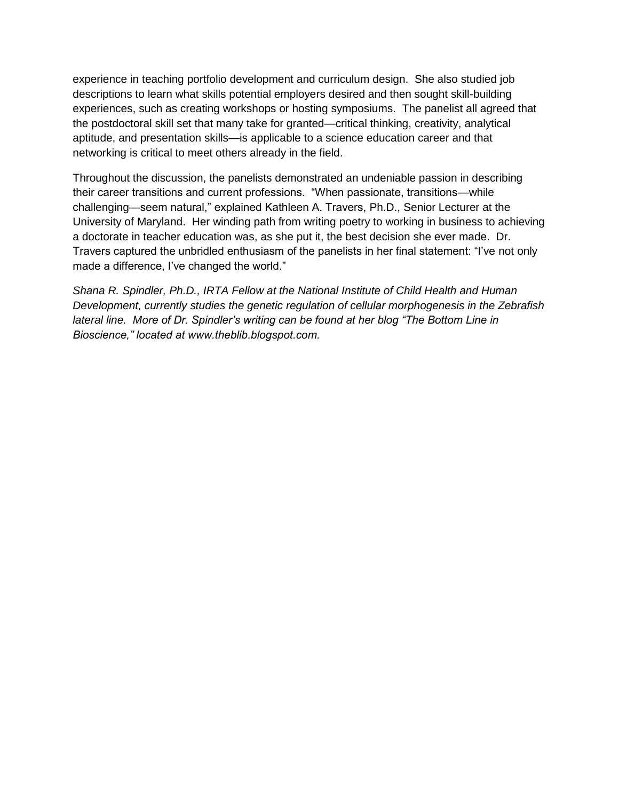experience in teaching portfolio development and curriculum design. She also studied job descriptions to learn what skills potential employers desired and then sought skill-building experiences, such as creating workshops or hosting symposiums. The panelist all agreed that the postdoctoral skill set that many take for granted—critical thinking, creativity, analytical aptitude, and presentation skills—is applicable to a science education career and that networking is critical to meet others already in the field.

Throughout the discussion, the panelists demonstrated an undeniable passion in describing their career transitions and current professions. "When passionate, transitions—while challenging—seem natural," explained Kathleen A. Travers, Ph.D., Senior Lecturer at the University of Maryland. Her winding path from writing poetry to working in business to achieving a doctorate in teacher education was, as she put it, the best decision she ever made. Dr. Travers captured the unbridled enthusiasm of the panelists in her final statement: "I"ve not only made a difference, I've changed the world."

*Shana R. Spindler, Ph.D., IRTA Fellow at the National Institute of Child Health and Human Development, currently studies the genetic regulation of cellular morphogenesis in the Zebrafish lateral line. More of Dr. Spindler's writing can be found at her blog "The Bottom Line in Bioscience," located at www.theblib.blogspot.com.*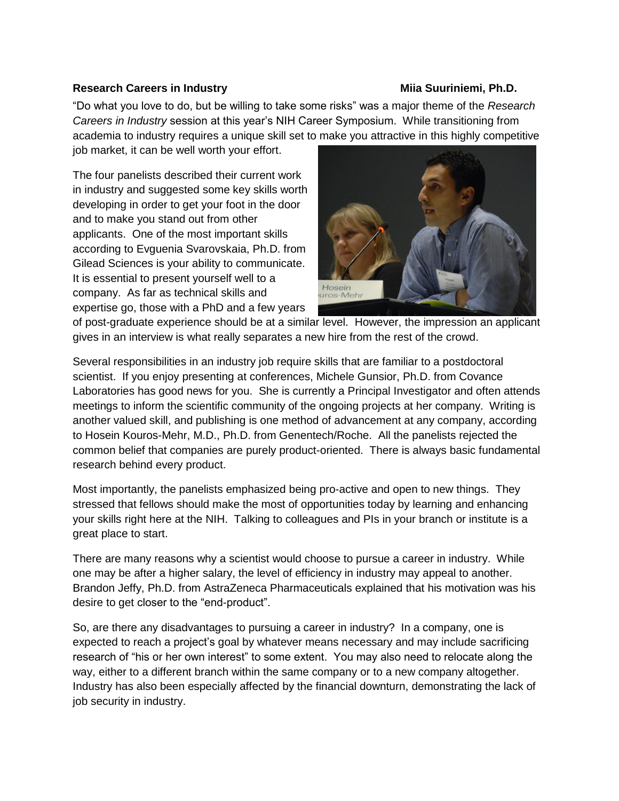### <span id="page-11-0"></span>Research Careers in Industry **Millet Careers in Industry Accord Participate Control** Mila Suuriniemi, Ph.D.

"Do what you love to do, but be willing to take some risks" was a major theme of the *Research Careers in Industry* session at this year"s NIH Career Symposium. While transitioning from academia to industry requires a unique skill set to make you attractive in this highly competitive

job market, it can be well worth your effort.

The four panelists described their current work in industry and suggested some key skills worth developing in order to get your foot in the door and to make you stand out from other applicants. One of the most important skills according to Evguenia Svarovskaia, Ph.D. from Gilead Sciences is your ability to communicate. It is essential to present yourself well to a company. As far as technical skills and expertise go, those with a PhD and a few years



of post-graduate experience should be at a similar level. However, the impression an applicant gives in an interview is what really separates a new hire from the rest of the crowd.

Several responsibilities in an industry job require skills that are familiar to a postdoctoral scientist. If you enjoy presenting at conferences, Michele Gunsior, Ph.D. from Covance Laboratories has good news for you. She is currently a Principal Investigator and often attends meetings to inform the scientific community of the ongoing projects at her company. Writing is another valued skill, and publishing is one method of advancement at any company, according to Hosein Kouros-Mehr, M.D., Ph.D. from Genentech/Roche. All the panelists rejected the common belief that companies are purely product-oriented. There is always basic fundamental research behind every product.

Most importantly, the panelists emphasized being pro-active and open to new things. They stressed that fellows should make the most of opportunities today by learning and enhancing your skills right here at the NIH. Talking to colleagues and PIs in your branch or institute is a great place to start.

There are many reasons why a scientist would choose to pursue a career in industry. While one may be after a higher salary, the level of efficiency in industry may appeal to another. Brandon Jeffy, Ph.D. from AstraZeneca Pharmaceuticals explained that his motivation was his desire to get closer to the "end-product".

So, are there any disadvantages to pursuing a career in industry? In a company, one is expected to reach a project"s goal by whatever means necessary and may include sacrificing research of "his or her own interest" to some extent. You may also need to relocate along the way, either to a different branch within the same company or to a new company altogether. Industry has also been especially affected by the financial downturn, demonstrating the lack of job security in industry.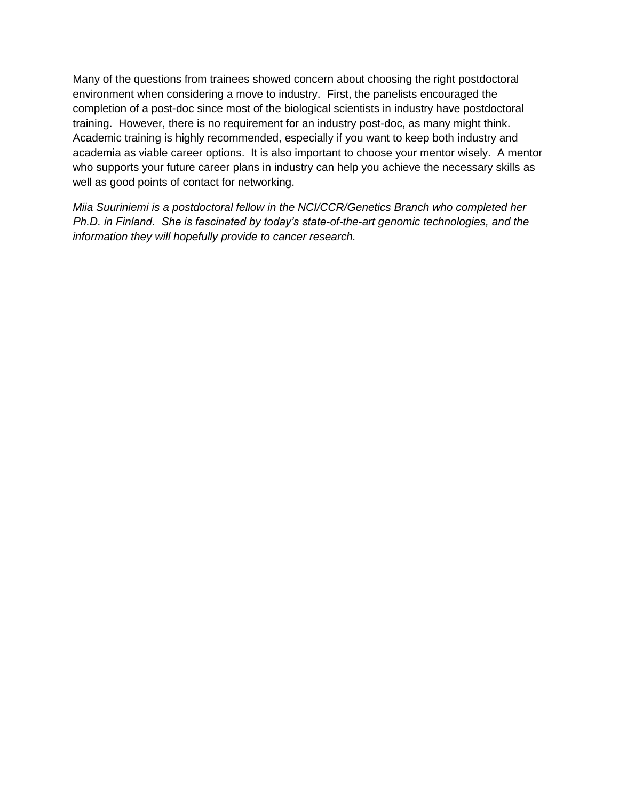Many of the questions from trainees showed concern about choosing the right postdoctoral environment when considering a move to industry. First, the panelists encouraged the completion of a post-doc since most of the biological scientists in industry have postdoctoral training. However, there is no requirement for an industry post-doc, as many might think. Academic training is highly recommended, especially if you want to keep both industry and academia as viable career options. It is also important to choose your mentor wisely. A mentor who supports your future career plans in industry can help you achieve the necessary skills as well as good points of contact for networking.

*Miia Suuriniemi is a postdoctoral fellow in the NCI/CCR/Genetics Branch who completed her Ph.D. in Finland. She is fascinated by today's state-of-the-art genomic technologies, and the information they will hopefully provide to cancer research.*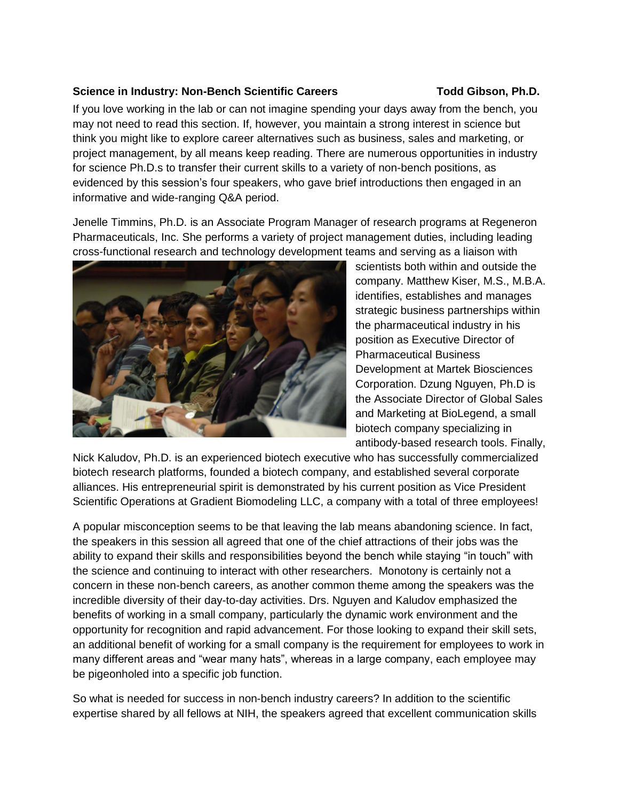### <span id="page-13-0"></span>**Science in Industry: Non-Bench Scientific Careers Todd Gibson, Ph.D.**

If you love working in the lab or can not imagine spending your days away from the bench, you may not need to read this section. If, however, you maintain a strong interest in science but think you might like to explore career alternatives such as business, sales and marketing, or project management, by all means keep reading. There are numerous opportunities in industry for science Ph.D.s to transfer their current skills to a variety of non-bench positions, as evidenced by this session"s four speakers, who gave brief introductions then engaged in an informative and wide-ranging Q&A period.

Jenelle Timmins, Ph.D. is an Associate Program Manager of research programs at Regeneron Pharmaceuticals, Inc. She performs a variety of project management duties, including leading cross-functional research and technology development teams and serving as a liaison with



scientists both within and outside the company. Matthew Kiser, M.S., M.B.A. identifies, establishes and manages strategic business partnerships within the pharmaceutical industry in his position as Executive Director of Pharmaceutical Business Development at Martek Biosciences Corporation. Dzung Nguyen, Ph.D is the Associate Director of Global Sales and Marketing at BioLegend, a small biotech company specializing in antibody-based research tools. Finally,

Nick Kaludov, Ph.D. is an experienced biotech executive who has successfully commercialized biotech research platforms, founded a biotech company, and established several corporate alliances. His entrepreneurial spirit is demonstrated by his current position as Vice President Scientific Operations at Gradient Biomodeling LLC, a company with a total of three employees!

A popular misconception seems to be that leaving the lab means abandoning science. In fact, the speakers in this session all agreed that one of the chief attractions of their jobs was the ability to expand their skills and responsibilities beyond the bench while staying "in touch" with the science and continuing to interact with other researchers. Monotony is certainly not a concern in these non-bench careers, as another common theme among the speakers was the incredible diversity of their day-to-day activities. Drs. Nguyen and Kaludov emphasized the benefits of working in a small company, particularly the dynamic work environment and the opportunity for recognition and rapid advancement. For those looking to expand their skill sets, an additional benefit of working for a small company is the requirement for employees to work in many different areas and "wear many hats", whereas in a large company, each employee may be pigeonholed into a specific job function.

So what is needed for success in non-bench industry careers? In addition to the scientific expertise shared by all fellows at NIH, the speakers agreed that excellent communication skills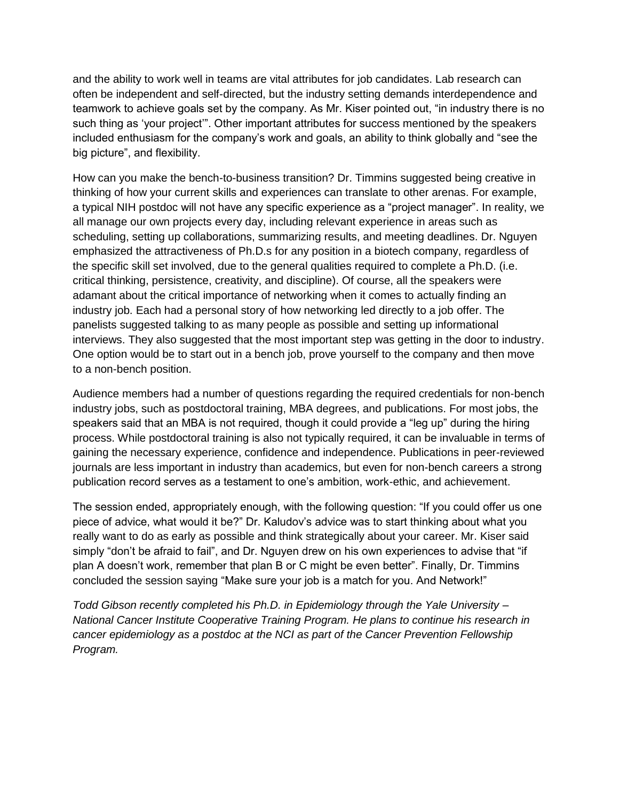and the ability to work well in teams are vital attributes for job candidates. Lab research can often be independent and self-directed, but the industry setting demands interdependence and teamwork to achieve goals set by the company. As Mr. Kiser pointed out, "in industry there is no such thing as "your project"". Other important attributes for success mentioned by the speakers included enthusiasm for the company"s work and goals, an ability to think globally and "see the big picture", and flexibility.

How can you make the bench-to-business transition? Dr. Timmins suggested being creative in thinking of how your current skills and experiences can translate to other arenas. For example, a typical NIH postdoc will not have any specific experience as a "project manager". In reality, we all manage our own projects every day, including relevant experience in areas such as scheduling, setting up collaborations, summarizing results, and meeting deadlines. Dr. Nguyen emphasized the attractiveness of Ph.D.s for any position in a biotech company, regardless of the specific skill set involved, due to the general qualities required to complete a Ph.D. (i.e. critical thinking, persistence, creativity, and discipline). Of course, all the speakers were adamant about the critical importance of networking when it comes to actually finding an industry job. Each had a personal story of how networking led directly to a job offer. The panelists suggested talking to as many people as possible and setting up informational interviews. They also suggested that the most important step was getting in the door to industry. One option would be to start out in a bench job, prove yourself to the company and then move to a non-bench position.

Audience members had a number of questions regarding the required credentials for non-bench industry jobs, such as postdoctoral training, MBA degrees, and publications. For most jobs, the speakers said that an MBA is not required, though it could provide a "leg up" during the hiring process. While postdoctoral training is also not typically required, it can be invaluable in terms of gaining the necessary experience, confidence and independence. Publications in peer-reviewed journals are less important in industry than academics, but even for non-bench careers a strong publication record serves as a testament to one"s ambition, work-ethic, and achievement.

The session ended, appropriately enough, with the following question: "If you could offer us one piece of advice, what would it be?" Dr. Kaludov"s advice was to start thinking about what you really want to do as early as possible and think strategically about your career. Mr. Kiser said simply "don't be afraid to fail", and Dr. Nguyen drew on his own experiences to advise that "if plan A doesn"t work, remember that plan B or C might be even better". Finally, Dr. Timmins concluded the session saying "Make sure your job is a match for you. And Network!"

*Todd Gibson recently completed his Ph.D. in Epidemiology through the Yale University – National Cancer Institute Cooperative Training Program. He plans to continue his research in cancer epidemiology as a postdoc at the NCI as part of the Cancer Prevention Fellowship Program.*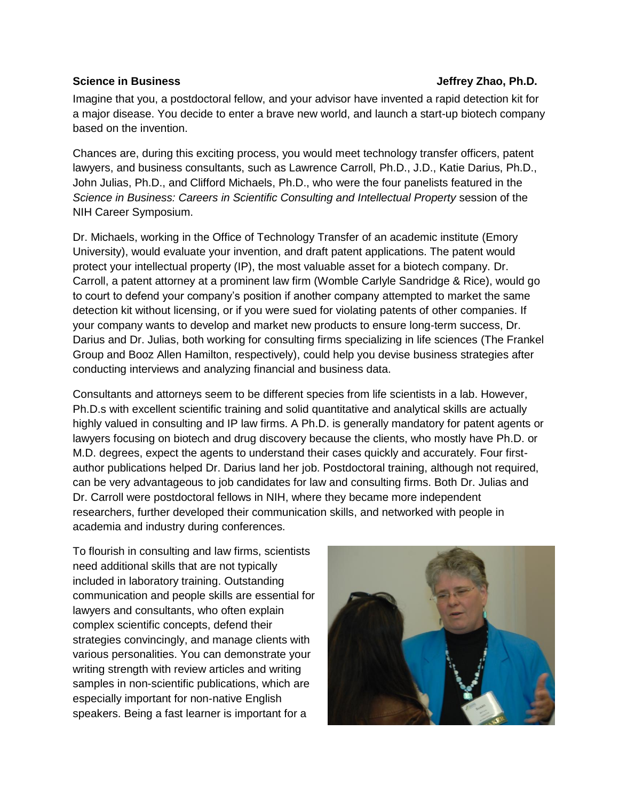### <span id="page-15-0"></span>**Science in Business Jeffrey Zhao, Ph.D. Jeffrey Zhao, Ph.D.**

Imagine that you, a postdoctoral fellow, and your advisor have invented a rapid detection kit for a major disease. You decide to enter a brave new world, and launch a start-up biotech company based on the invention.

Chances are, during this exciting process, you would meet technology transfer officers, patent lawyers, and business consultants, such as Lawrence Carroll, Ph.D., J.D., Katie Darius, Ph.D., John Julias, Ph.D., and Clifford Michaels, Ph.D., who were the four panelists featured in the *Science in Business: Careers in Scientific Consulting and Intellectual Property* session of the NIH Career Symposium.

Dr. Michaels, working in the Office of Technology Transfer of an academic institute (Emory University), would evaluate your invention, and draft patent applications. The patent would protect your intellectual property (IP), the most valuable asset for a biotech company. Dr. Carroll, a patent attorney at a prominent law firm (Womble Carlyle Sandridge & Rice), would go to court to defend your company"s position if another company attempted to market the same detection kit without licensing, or if you were sued for violating patents of other companies. If your company wants to develop and market new products to ensure long-term success, Dr. Darius and Dr. Julias, both working for consulting firms specializing in life sciences (The Frankel Group and Booz Allen Hamilton, respectively), could help you devise business strategies after conducting interviews and analyzing financial and business data.

Consultants and attorneys seem to be different species from life scientists in a lab. However, Ph.D.s with excellent scientific training and solid quantitative and analytical skills are actually highly valued in consulting and IP law firms. A Ph.D. is generally mandatory for patent agents or lawyers focusing on biotech and drug discovery because the clients, who mostly have Ph.D. or M.D. degrees, expect the agents to understand their cases quickly and accurately. Four firstauthor publications helped Dr. Darius land her job. Postdoctoral training, although not required, can be very advantageous to job candidates for law and consulting firms. Both Dr. Julias and Dr. Carroll were postdoctoral fellows in NIH, where they became more independent researchers, further developed their communication skills, and networked with people in academia and industry during conferences.

To flourish in consulting and law firms, scientists need additional skills that are not typically included in laboratory training. Outstanding communication and people skills are essential for lawyers and consultants, who often explain complex scientific concepts, defend their strategies convincingly, and manage clients with various personalities. You can demonstrate your writing strength with review articles and writing samples in non-scientific publications, which are especially important for non-native English speakers. Being a fast learner is important for a

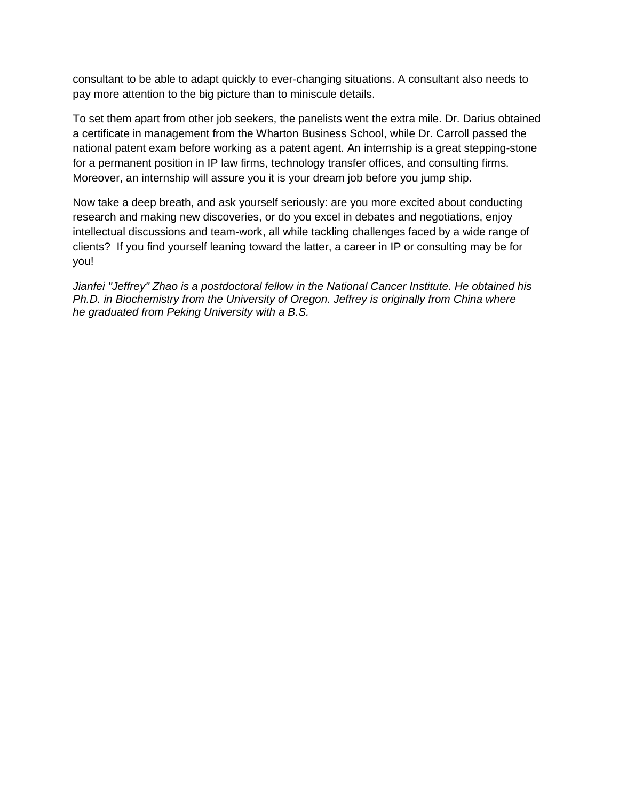consultant to be able to adapt quickly to ever-changing situations. A consultant also needs to pay more attention to the big picture than to miniscule details.

To set them apart from other job seekers, the panelists went the extra mile. Dr. Darius obtained a certificate in management from the Wharton Business School, while Dr. Carroll passed the national patent exam before working as a patent agent. An internship is a great stepping-stone for a permanent position in IP law firms, technology transfer offices, and consulting firms. Moreover, an internship will assure you it is your dream job before you jump ship.

Now take a deep breath, and ask yourself seriously: are you more excited about conducting research and making new discoveries, or do you excel in debates and negotiations, enjoy intellectual discussions and team-work, all while tackling challenges faced by a wide range of clients? If you find yourself leaning toward the latter, a career in IP or consulting may be for you!

*Jianfei "Jeffrey" Zhao is a postdoctoral fellow in the National Cancer Institute. He obtained his Ph.D. in Biochemistry from the University of Oregon. Jeffrey is originally from China where he graduated from Peking University with a B.S.*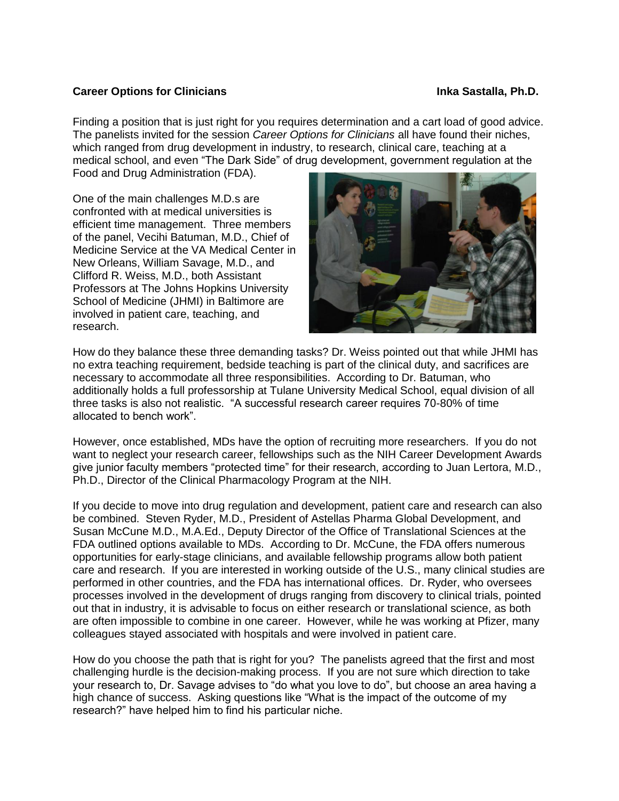### <span id="page-17-0"></span>**Career Options for Clinicians International Career Control of Career Area Castalla, Ph.D.**

Finding a position that is just right for you requires determination and a cart load of good advice. The panelists invited for the session *Career Options for Clinicians* all have found their niches, which ranged from drug development in industry, to research, clinical care, teaching at a medical school, and even "The Dark Side" of drug development, government regulation at the Food and Drug Administration (FDA).

One of the main challenges M.D.s are confronted with at medical universities is efficient time management. Three members of the panel, Vecihi Batuman, M.D., Chief of Medicine Service at the VA Medical Center in New Orleans, William Savage, M.D., and Clifford R. Weiss, M.D., both Assistant Professors at The Johns Hopkins University School of Medicine (JHMI) in Baltimore are involved in patient care, teaching, and research.



How do they balance these three demanding tasks? Dr. Weiss pointed out that while JHMI has no extra teaching requirement, bedside teaching is part of the clinical duty, and sacrifices are necessary to accommodate all three responsibilities. According to Dr. Batuman, who additionally holds a full professorship at Tulane University Medical School, equal division of all three tasks is also not realistic. "A successful research career requires 70-80% of time allocated to bench work".

However, once established, MDs have the option of recruiting more researchers. If you do not want to neglect your research career, fellowships such as the NIH Career Development Awards give junior faculty members "protected time" for their research, according to Juan Lertora, M.D., Ph.D., Director of the Clinical Pharmacology Program at the NIH.

If you decide to move into drug regulation and development, patient care and research can also be combined. Steven Ryder, M.D., President of Astellas Pharma Global Development, and Susan McCune M.D., M.A.Ed., Deputy Director of the Office of Translational Sciences at the FDA outlined options available to MDs. According to Dr. McCune, the FDA offers numerous opportunities for early-stage clinicians, and available fellowship programs allow both patient care and research. If you are interested in working outside of the U.S., many clinical studies are performed in other countries, and the FDA has international offices. Dr. Ryder, who oversees processes involved in the development of drugs ranging from discovery to clinical trials, pointed out that in industry, it is advisable to focus on either research or translational science, as both are often impossible to combine in one career. However, while he was working at Pfizer, many colleagues stayed associated with hospitals and were involved in patient care.

How do you choose the path that is right for you? The panelists agreed that the first and most challenging hurdle is the decision-making process. If you are not sure which direction to take your research to, Dr. Savage advises to "do what you love to do", but choose an area having a high chance of success. Asking questions like "What is the impact of the outcome of my research?" have helped him to find his particular niche.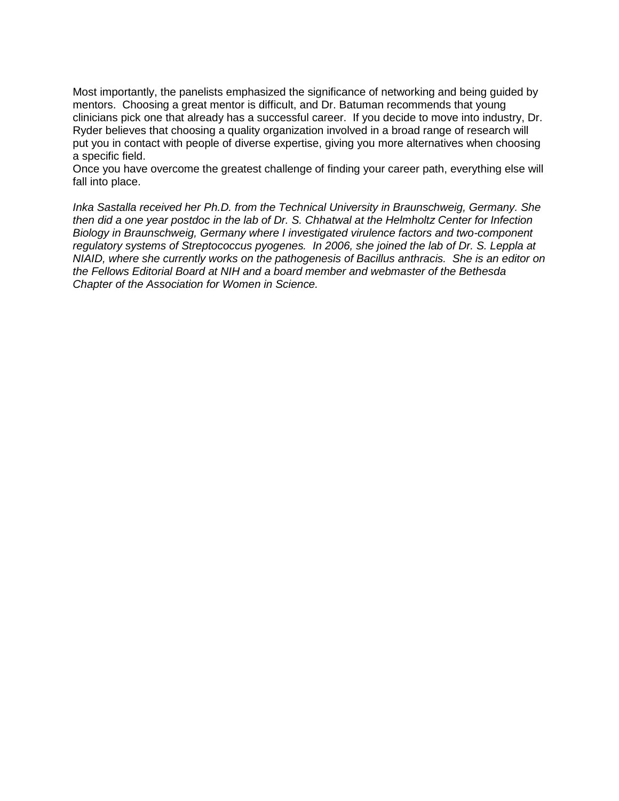Most importantly, the panelists emphasized the significance of networking and being guided by mentors. Choosing a great mentor is difficult, and Dr. Batuman recommends that young clinicians pick one that already has a successful career. If you decide to move into industry, Dr. Ryder believes that choosing a quality organization involved in a broad range of research will put you in contact with people of diverse expertise, giving you more alternatives when choosing a specific field.

Once you have overcome the greatest challenge of finding your career path, everything else will fall into place.

*Inka Sastalla received her Ph.D. from the Technical University in Braunschweig, Germany. She then did a one year postdoc in the lab of Dr. S. Chhatwal at the Helmholtz Center for Infection Biology in Braunschweig, Germany where I investigated virulence factors and two-component regulatory systems of Streptococcus pyogenes. In 2006, she joined the lab of Dr. S. Leppla at NIAID, where she currently works on the pathogenesis of Bacillus anthracis. She is an editor on the Fellows Editorial Board at NIH and a board member and webmaster of the Bethesda Chapter of the Association for Women in Science.*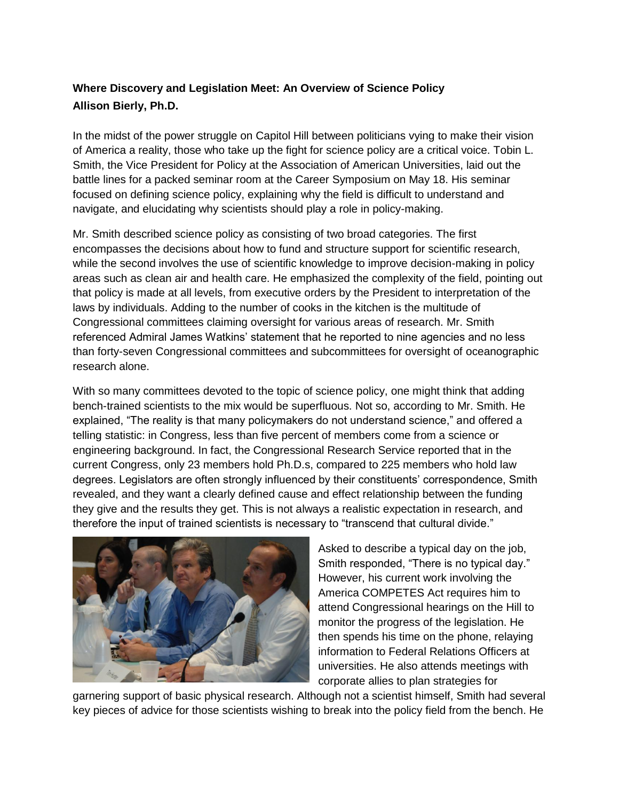## <span id="page-19-0"></span>**Where Discovery and Legislation Meet: An Overview of Science Policy Allison Bierly, Ph.D.**

In the midst of the power struggle on Capitol Hill between politicians vying to make their vision of America a reality, those who take up the fight for science policy are a critical voice. Tobin L. Smith, the Vice President for Policy at the Association of American Universities, laid out the battle lines for a packed seminar room at the Career Symposium on May 18. His seminar focused on defining science policy, explaining why the field is difficult to understand and navigate, and elucidating why scientists should play a role in policy-making.

Mr. Smith described science policy as consisting of two broad categories. The first encompasses the decisions about how to fund and structure support for scientific research, while the second involves the use of scientific knowledge to improve decision-making in policy areas such as clean air and health care. He emphasized the complexity of the field, pointing out that policy is made at all levels, from executive orders by the President to interpretation of the laws by individuals. Adding to the number of cooks in the kitchen is the multitude of Congressional committees claiming oversight for various areas of research. Mr. Smith referenced Admiral James Watkins" statement that he reported to nine agencies and no less than forty-seven Congressional committees and subcommittees for oversight of oceanographic research alone.

With so many committees devoted to the topic of science policy, one might think that adding bench-trained scientists to the mix would be superfluous. Not so, according to Mr. Smith. He explained, "The reality is that many policymakers do not understand science," and offered a telling statistic: in Congress, less than five percent of members come from a science or engineering background. In fact, the Congressional Research Service reported that in the current Congress, only 23 members hold Ph.D.s, compared to 225 members who hold law degrees. Legislators are often strongly influenced by their constituents" correspondence, Smith revealed, and they want a clearly defined cause and effect relationship between the funding they give and the results they get. This is not always a realistic expectation in research, and therefore the input of trained scientists is necessary to "transcend that cultural divide."



Asked to describe a typical day on the job, Smith responded, "There is no typical day." However, his current work involving the America COMPETES Act requires him to attend Congressional hearings on the Hill to monitor the progress of the legislation. He then spends his time on the phone, relaying information to Federal Relations Officers at universities. He also attends meetings with corporate allies to plan strategies for

garnering support of basic physical research. Although not a scientist himself, Smith had several key pieces of advice for those scientists wishing to break into the policy field from the bench. He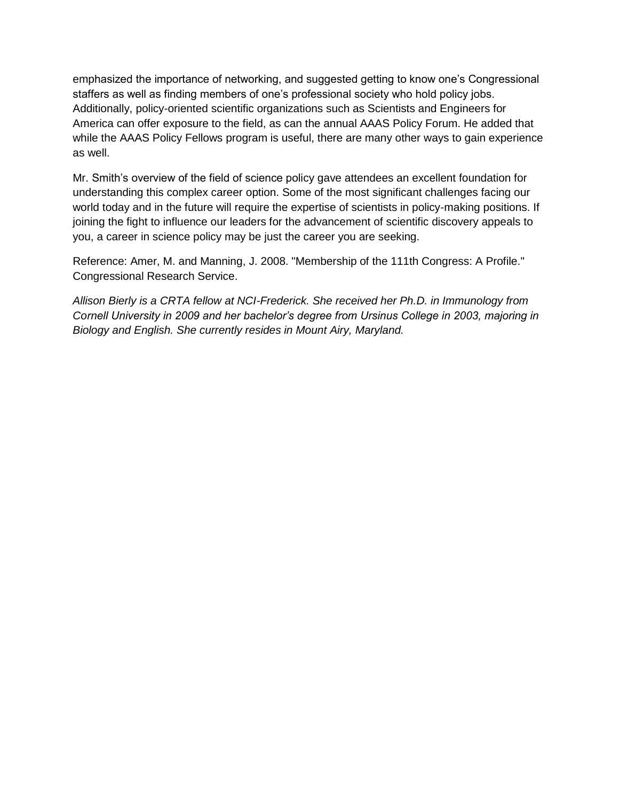emphasized the importance of networking, and suggested getting to know one"s Congressional staffers as well as finding members of one"s professional society who hold policy jobs. Additionally, policy-oriented scientific organizations such as Scientists and Engineers for America can offer exposure to the field, as can the annual AAAS Policy Forum. He added that while the AAAS Policy Fellows program is useful, there are many other ways to gain experience as well.

Mr. Smith's overview of the field of science policy gave attendees an excellent foundation for understanding this complex career option. Some of the most significant challenges facing our world today and in the future will require the expertise of scientists in policy-making positions. If joining the fight to influence our leaders for the advancement of scientific discovery appeals to you, a career in science policy may be just the career you are seeking.

Reference: Amer, M. and Manning, J. 2008. ["Membership of the 111th Congress: A Profile.](http://assets.opencrs.com/rpts/R40086_20081231.pdf)" [Congressional Research Service.](http://en.wikipedia.org/wiki/Congressional_Research_Service)

*Allison Bierly is a CRTA fellow at NCI-Frederick. She received her Ph.D. in Immunology from Cornell University in 2009 and her bachelor's degree from Ursinus College in 2003, majoring in Biology and English. She currently resides in Mount Airy, Maryland.*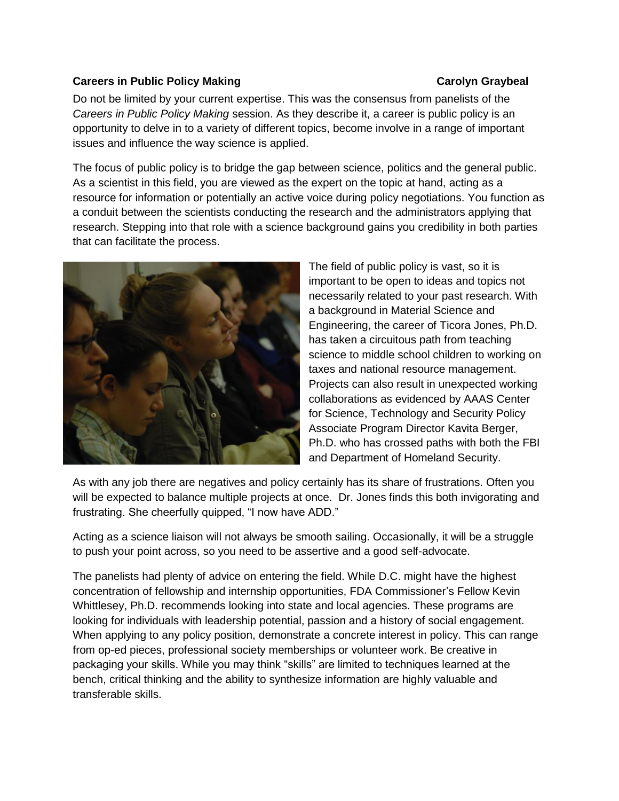### <span id="page-21-0"></span>**Careers in Public Policy Making Carolyn Graybeal**

Do not be limited by your current expertise. This was the consensus from panelists of the *Careers in Public Policy Making* session. As they describe it, a career is public policy is an opportunity to delve in to a variety of different topics, become involve in a range of important issues and influence the way science is applied.

The focus of public policy is to bridge the gap between science, politics and the general public. As a scientist in this field, you are viewed as the expert on the topic at hand, acting as a resource for information or potentially an active voice during policy negotiations. You function as a conduit between the scientists conducting the research and the administrators applying that research. Stepping into that role with a science background gains you credibility in both parties that can facilitate the process.



The field of public policy is vast, so it is important to be open to ideas and topics not necessarily related to your past research. With a background in Material Science and Engineering, the career of Ticora Jones, Ph.D. has taken a circuitous path from teaching science to middle school children to working on taxes and national resource management. Projects can also result in unexpected working collaborations as evidenced by AAAS Center for Science, Technology and Security Policy Associate Program Director Kavita Berger, Ph.D. who has crossed paths with both the FBI and Department of Homeland Security.

As with any job there are negatives and policy certainly has its share of frustrations. Often you will be expected to balance multiple projects at once. Dr. Jones finds this both invigorating and frustrating. She cheerfully quipped, "I now have ADD."

Acting as a science liaison will not always be smooth sailing. Occasionally, it will be a struggle to push your point across, so you need to be assertive and a good self-advocate.

The panelists had plenty of advice on entering the field. While D.C. might have the highest concentration of fellowship and internship opportunities, FDA Commissioner"s Fellow Kevin Whittlesey, Ph.D. recommends looking into state and local agencies. These programs are looking for individuals with leadership potential, passion and a history of social engagement. When applying to any policy position, demonstrate a concrete interest in policy. This can range from op-ed pieces, professional society memberships or volunteer work. Be creative in packaging your skills. While you may think "skills" are limited to techniques learned at the bench, critical thinking and the ability to synthesize information are highly valuable and transferable skills.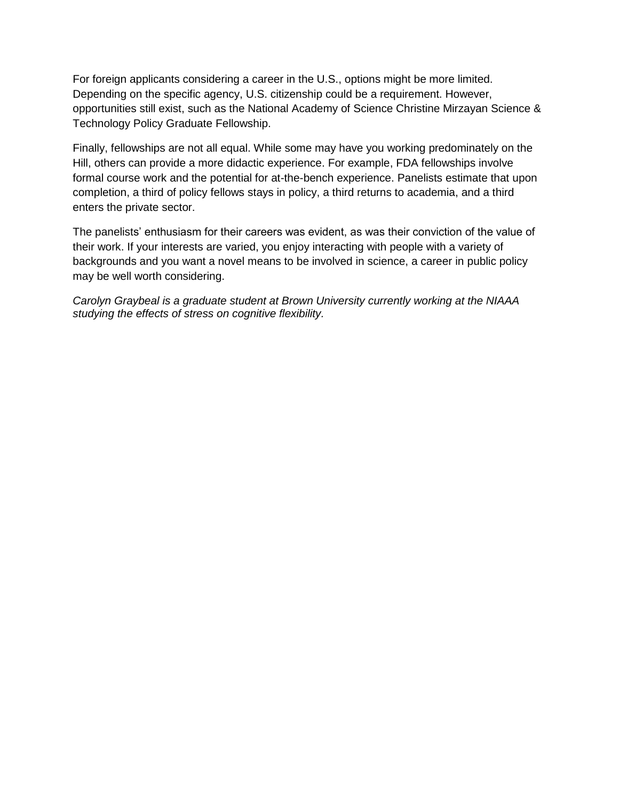For foreign applicants considering a career in the U.S., options might be more limited. Depending on the specific agency, U.S. citizenship could be a requirement. However, opportunities still exist, such as the National Academy of Science Christine Mirzayan Science & Technology Policy Graduate Fellowship.

Finally, fellowships are not all equal. While some may have you working predominately on the Hill, others can provide a more didactic experience. For example, FDA fellowships involve formal course work and the potential for at-the-bench experience. Panelists estimate that upon completion, a third of policy fellows stays in policy, a third returns to academia, and a third enters the private sector.

The panelists" enthusiasm for their careers was evident, as was their conviction of the value of their work. If your interests are varied, you enjoy interacting with people with a variety of backgrounds and you want a novel means to be involved in science, a career in public policy may be well worth considering.

*Carolyn Graybeal is a graduate student at Brown University currently working at the NIAAA studying the effects of stress on cognitive flexibility.*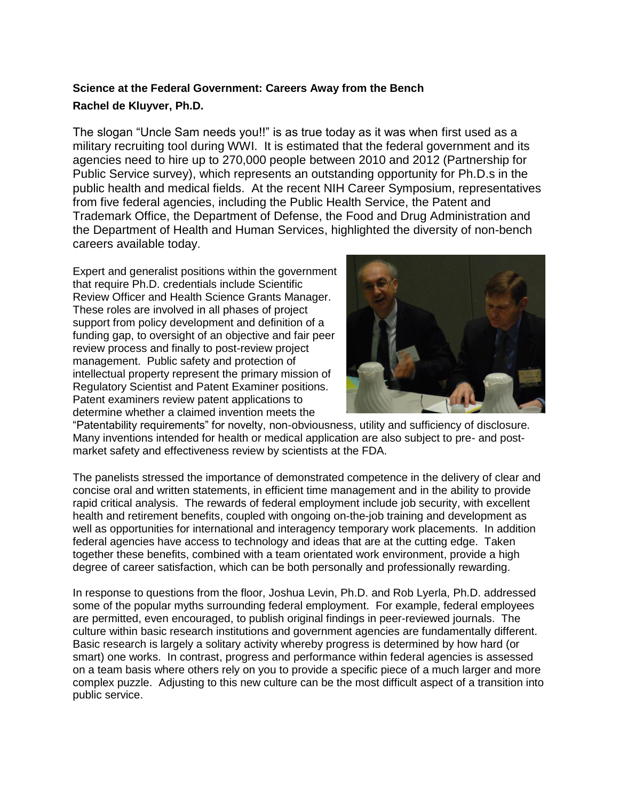## <span id="page-23-0"></span>**Science at the Federal Government: Careers Away from the Bench Rachel de Kluyver, Ph.D.**

The slogan "Uncle Sam needs you!!" is as true today as it was when first used as a military recruiting tool during WWI. It is estimated that the federal government and its agencies need to hire up to 270,000 people between 2010 and 2012 (Partnership for Public Service survey), which represents an outstanding opportunity for Ph.D.s in the public health and medical fields. At the recent NIH Career Symposium, representatives from five federal agencies, including the Public Health Service, the Patent and Trademark Office, the Department of Defense, the Food and Drug Administration and the Department of Health and Human Services, highlighted the diversity of non-bench careers available today.

Expert and generalist positions within the government that require Ph.D. credentials include Scientific Review Officer and Health Science Grants Manager. These roles are involved in all phases of project support from policy development and definition of a funding gap, to oversight of an objective and fair peer review process and finally to post-review project management. Public safety and protection of intellectual property represent the primary mission of Regulatory Scientist and Patent Examiner positions. Patent examiners review patent applications to determine whether a claimed invention meets the



"Patentability requirements" for novelty, non-obviousness, utility and sufficiency of disclosure. Many inventions intended for health or medical application are also subject to pre- and postmarket safety and effectiveness review by scientists at the FDA.

The panelists stressed the importance of demonstrated competence in the delivery of clear and concise oral and written statements, in efficient time management and in the ability to provide rapid critical analysis. The rewards of federal employment include job security, with excellent health and retirement benefits, coupled with ongoing on-the-job training and development as well as opportunities for international and interagency temporary work placements. In addition federal agencies have access to technology and ideas that are at the cutting edge. Taken together these benefits, combined with a team orientated work environment, provide a high degree of career satisfaction, which can be both personally and professionally rewarding.

In response to questions from the floor, Joshua Levin, Ph.D. and Rob Lyerla, Ph.D. addressed some of the popular myths surrounding federal employment. For example, federal employees are permitted, even encouraged, to publish original findings in peer-reviewed journals. The culture within basic research institutions and government agencies are fundamentally different. Basic research is largely a solitary activity whereby progress is determined by how hard (or smart) one works. In contrast, progress and performance within federal agencies is assessed on a team basis where others rely on you to provide a specific piece of a much larger and more complex puzzle. Adjusting to this new culture can be the most difficult aspect of a transition into public service.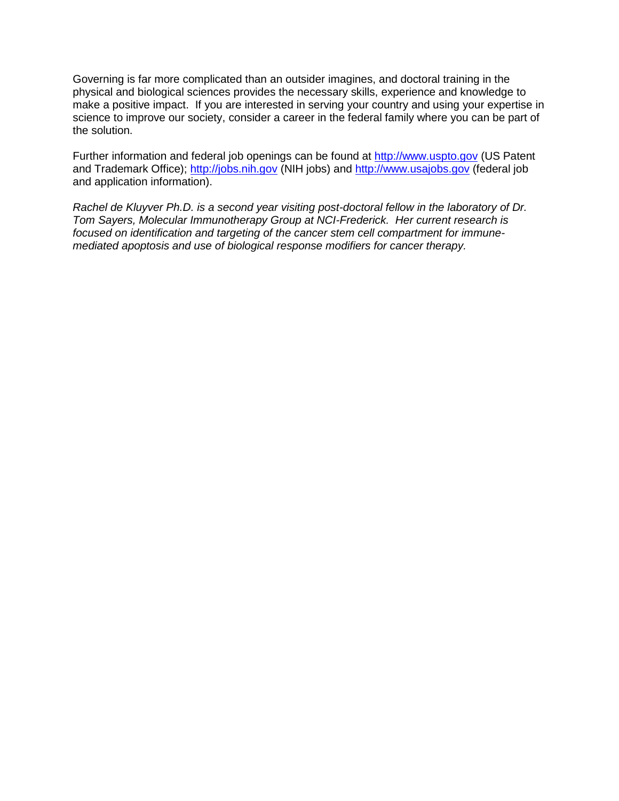Governing is far more complicated than an outsider imagines, and doctoral training in the physical and biological sciences provides the necessary skills, experience and knowledge to make a positive impact. If you are interested in serving your country and using your expertise in science to improve our society, consider a career in the federal family where you can be part of the solution.

Further information and federal job openings can be found at [http://www.uspto.gov](http://www.uspto.gov/) (US Patent and Trademark Office); [http://jobs.nih.gov](http://jobs.nih.gov/) (NIH jobs) and [http://www.usajobs.gov](http://wwwusajobs.gov/) (federal job and application information).

*Rachel de Kluyver Ph.D. is a second year visiting post-doctoral fellow in the laboratory of Dr. Tom Sayers, Molecular Immunotherapy Group at NCI-Frederick. Her current research is focused on identification and targeting of the cancer stem cell compartment for immunemediated apoptosis and use of biological response modifiers for cancer therapy.*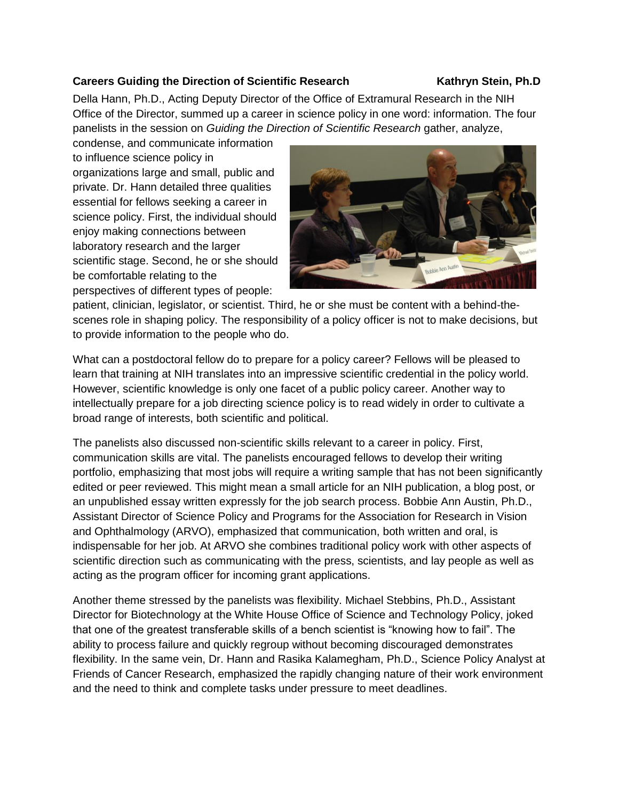### <span id="page-25-0"></span>**Careers Guiding the Direction of Scientific Research Kathryn Stein, Ph.D.**

Della Hann, Ph.D., Acting Deputy Director of the Office of Extramural Research in the NIH Office of the Director, summed up a career in science policy in one word: information. The four panelists in the session on *Guiding the Direction of Scientific Research* gather, analyze,

condense, and communicate information to influence science policy in organizations large and small, public and private. Dr. Hann detailed three qualities essential for fellows seeking a career in science policy. First, the individual should enjoy making connections between laboratory research and the larger scientific stage. Second, he or she should be comfortable relating to the perspectives of different types of people:



patient, clinician, legislator, or scientist. Third, he or she must be content with a behind-thescenes role in shaping policy. The responsibility of a policy officer is not to make decisions, but to provide information to the people who do.

What can a postdoctoral fellow do to prepare for a policy career? Fellows will be pleased to learn that training at NIH translates into an impressive scientific credential in the policy world. However, scientific knowledge is only one facet of a public policy career. Another way to intellectually prepare for a job directing science policy is to read widely in order to cultivate a broad range of interests, both scientific and political.

The panelists also discussed non-scientific skills relevant to a career in policy. First, communication skills are vital. The panelists encouraged fellows to develop their writing portfolio, emphasizing that most jobs will require a writing sample that has not been significantly edited or peer reviewed. This might mean a small article for an NIH publication, a blog post, or an unpublished essay written expressly for the job search process. Bobbie Ann Austin, Ph.D., Assistant Director of Science Policy and Programs for the Association for Research in Vision and Ophthalmology (ARVO), emphasized that communication, both written and oral, is indispensable for her job. At ARVO she combines traditional policy work with other aspects of scientific direction such as communicating with the press, scientists, and lay people as well as acting as the program officer for incoming grant applications.

Another theme stressed by the panelists was flexibility. Michael Stebbins, Ph.D., Assistant Director for Biotechnology at the White House Office of Science and Technology Policy, joked that one of the greatest transferable skills of a bench scientist is "knowing how to fail". The ability to process failure and quickly regroup without becoming discouraged demonstrates flexibility. In the same vein, Dr. Hann and Rasika Kalamegham, Ph.D., Science Policy Analyst at Friends of Cancer Research, emphasized the rapidly changing nature of their work environment and the need to think and complete tasks under pressure to meet deadlines.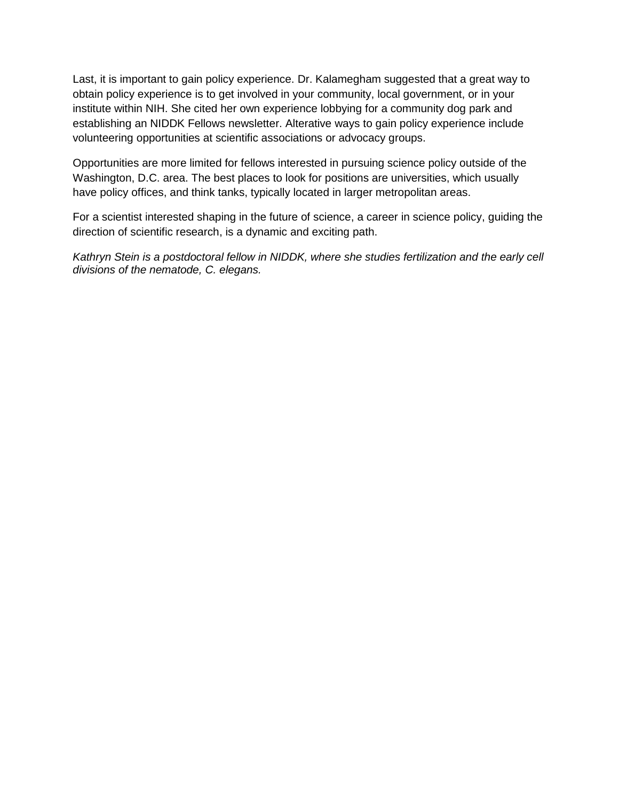Last, it is important to gain policy experience. Dr. Kalamegham suggested that a great way to obtain policy experience is to get involved in your community, local government, or in your institute within NIH. She cited her own experience lobbying for a community dog park and establishing an NIDDK Fellows newsletter. Alterative ways to gain policy experience include volunteering opportunities at scientific associations or advocacy groups.

Opportunities are more limited for fellows interested in pursuing science policy outside of the Washington, D.C. area. The best places to look for positions are universities, which usually have policy offices, and think tanks, typically located in larger metropolitan areas.

For a scientist interested shaping in the future of science, a career in science policy, guiding the direction of scientific research, is a dynamic and exciting path.

*Kathryn Stein is a postdoctoral fellow in NIDDK, where she studies fertilization and the early cell divisions of the nematode, C. elegans.*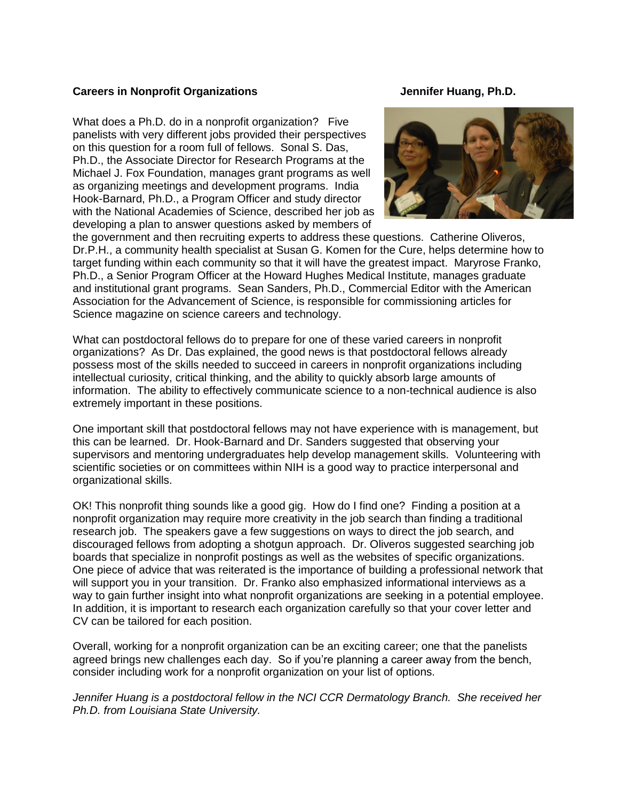### <span id="page-27-0"></span>**Careers in Nonprofit Organizations Careers in Nonprofit Organizations Careers According Careers According Careers According Careers According Careers According Careers According Careers According Careers According Careers**

What does a Ph.D. do in a nonprofit organization? Five panelists with very different jobs provided their perspectives on this question for a room full of fellows. Sonal S. Das, Ph.D., the Associate Director for Research Programs at the Michael J. Fox Foundation, manages grant programs as well as organizing meetings and development programs. India Hook-Barnard, Ph.D., a Program Officer and study director with the National Academies of Science, described her job as developing a plan to answer questions asked by members of



the government and then recruiting experts to address these questions. Catherine Oliveros, Dr.P.H., a community health specialist at Susan G. Komen for the Cure, helps determine how to target funding within each community so that it will have the greatest impact. Maryrose Franko, Ph.D., a Senior Program Officer at the Howard Hughes Medical Institute, manages graduate and institutional grant programs. Sean Sanders, Ph.D., Commercial Editor with the American Association for the Advancement of Science, is responsible for commissioning articles for Science magazine on science careers and technology.

What can postdoctoral fellows do to prepare for one of these varied careers in nonprofit organizations? As Dr. Das explained, the good news is that postdoctoral fellows already possess most of the skills needed to succeed in careers in nonprofit organizations including intellectual curiosity, critical thinking, and the ability to quickly absorb large amounts of information. The ability to effectively communicate science to a non-technical audience is also extremely important in these positions.

One important skill that postdoctoral fellows may not have experience with is management, but this can be learned. Dr. Hook-Barnard and Dr. Sanders suggested that observing your supervisors and mentoring undergraduates help develop management skills. Volunteering with scientific societies or on committees within NIH is a good way to practice interpersonal and organizational skills.

OK! This nonprofit thing sounds like a good gig. How do I find one? Finding a position at a nonprofit organization may require more creativity in the job search than finding a traditional research job. The speakers gave a few suggestions on ways to direct the job search, and discouraged fellows from adopting a shotgun approach. Dr. Oliveros suggested searching job boards that specialize in nonprofit postings as well as the websites of specific organizations. One piece of advice that was reiterated is the importance of building a professional network that will support you in your transition. Dr. Franko also emphasized informational interviews as a way to gain further insight into what nonprofit organizations are seeking in a potential employee. In addition, it is important to research each organization carefully so that your cover letter and CV can be tailored for each position.

Overall, working for a nonprofit organization can be an exciting career; one that the panelists agreed brings new challenges each day. So if you"re planning a career away from the bench, consider including work for a nonprofit organization on your list of options.

*Jennifer Huang is a postdoctoral fellow in the NCI CCR Dermatology Branch. She received her Ph.D. from Louisiana State University.*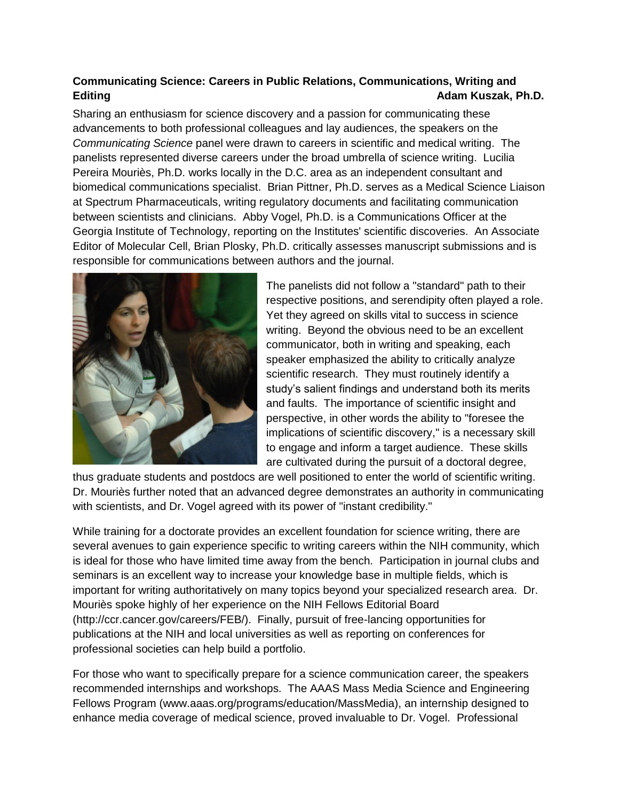## <span id="page-28-0"></span>**Communicating Science: Careers in Public Relations, Communications, Writing and Editing Adam Kuszak, Ph.D.**

Sharing an enthusiasm for science discovery and a passion for communicating these advancements to both professional colleagues and lay audiences, the speakers on the *Communicating Science* panel were drawn to careers in scientific and medical writing. The panelists represented diverse careers under the broad umbrella of science writing. Lucilia Pereira Mouriès, Ph.D. works locally in the D.C. area as an independent consultant and biomedical communications specialist. Brian Pittner, Ph.D. serves as a Medical Science Liaison at Spectrum Pharmaceuticals, writing regulatory documents and facilitating communication between scientists and clinicians. Abby Vogel, Ph.D. is a Communications Officer at the Georgia Institute of Technology, reporting on the Institutes' scientific discoveries. An Associate Editor of Molecular Cell, Brian Plosky, Ph.D. critically assesses manuscript submissions and is responsible for communications between authors and the journal.



The panelists did not follow a "standard" path to their respective positions, and serendipity often played a role. Yet they agreed on skills vital to success in science writing. Beyond the obvious need to be an excellent communicator, both in writing and speaking, each speaker emphasized the ability to critically analyze scientific research. They must routinely identify a study"s salient findings and understand both its merits and faults. The importance of scientific insight and perspective, in other words the ability to "foresee the implications of scientific discovery," is a necessary skill to engage and inform a target audience. These skills are cultivated during the pursuit of a doctoral degree,

thus graduate students and postdocs are well positioned to enter the world of scientific writing. Dr. Mouriès further noted that an advanced degree demonstrates an authority in communicating with scientists, and Dr. Vogel agreed with its power of "instant credibility."

While training for a doctorate provides an excellent foundation for science writing, there are several avenues to gain experience specific to writing careers within the NIH community, which is ideal for those who have limited time away from the bench. Participation in journal clubs and seminars is an excellent way to increase your knowledge base in multiple fields, which is important for writing authoritatively on many topics beyond your specialized research area. Dr. Mouriès spoke highly of her experience on the NIH Fellows Editorial Board (http://ccr.cancer.gov/careers/FEB/). Finally, pursuit of free-lancing opportunities for publications at the NIH and local universities as well as reporting on conferences for professional societies can help build a portfolio.

For those who want to specifically prepare for a science communication career, the speakers recommended internships and workshops. The AAAS Mass Media Science and Engineering Fellows Program (www.aaas.org/programs/education/MassMedia), an internship designed to enhance media coverage of medical science, proved invaluable to Dr. Vogel. Professional